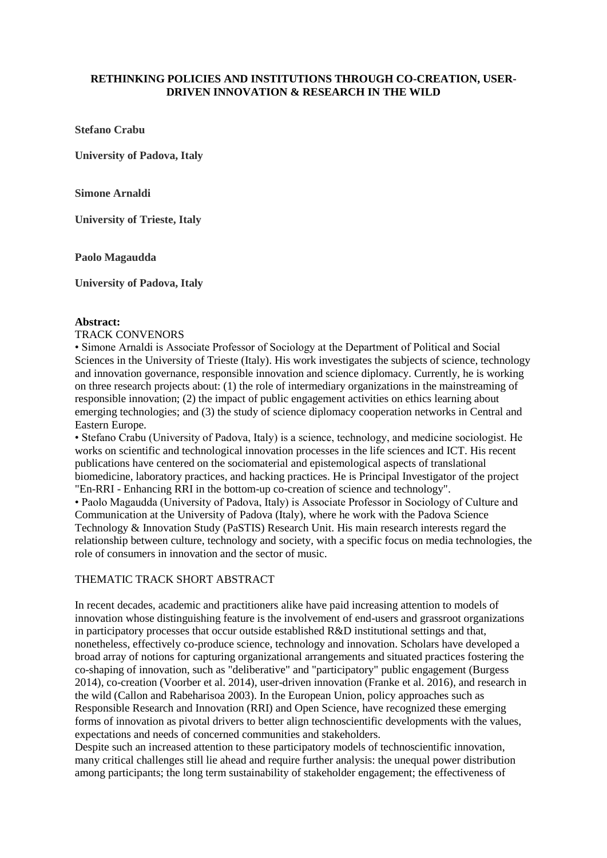## **RETHINKING POLICIES AND INSTITUTIONS THROUGH CO-CREATION, USER-DRIVEN INNOVATION & RESEARCH IN THE WILD**

**Stefano Crabu**

**University of Padova, Italy**

**Simone Arnaldi**

**University of Trieste, Italy**

**Paolo Magaudda**

**University of Padova, Italy**

## **Abstract:**

### TRACK CONVENORS

• Simone Arnaldi is Associate Professor of Sociology at the Department of Political and Social Sciences in the University of Trieste (Italy). His work investigates the subjects of science, technology and innovation governance, responsible innovation and science diplomacy. Currently, he is working on three research projects about: (1) the role of intermediary organizations in the mainstreaming of responsible innovation; (2) the impact of public engagement activities on ethics learning about emerging technologies; and (3) the study of science diplomacy cooperation networks in Central and Eastern Europe.

• Stefano Crabu (University of Padova, Italy) is a science, technology, and medicine sociologist. He works on scientific and technological innovation processes in the life sciences and ICT. His recent publications have centered on the sociomaterial and epistemological aspects of translational biomedicine, laboratory practices, and hacking practices. He is Principal Investigator of the project "En-RRI - Enhancing RRI in the bottom-up co-creation of science and technology".

• Paolo Magaudda (University of Padova, Italy) is Associate Professor in Sociology of Culture and Communication at the University of Padova (Italy), where he work with the Padova Science Technology & Innovation Study (PaSTIS) Research Unit. His main research interests regard the relationship between culture, technology and society, with a specific focus on media technologies, the role of consumers in innovation and the sector of music.

## THEMATIC TRACK SHORT ABSTRACT

In recent decades, academic and practitioners alike have paid increasing attention to models of innovation whose distinguishing feature is the involvement of end-users and grassroot organizations in participatory processes that occur outside established R&D institutional settings and that, nonetheless, effectively co-produce science, technology and innovation. Scholars have developed a broad array of notions for capturing organizational arrangements and situated practices fostering the co-shaping of innovation, such as "deliberative" and "participatory" public engagement (Burgess 2014), co-creation (Voorber et al. 2014), user-driven innovation (Franke et al. 2016), and research in the wild (Callon and Rabeharisoa 2003). In the European Union, policy approaches such as Responsible Research and Innovation (RRI) and Open Science, have recognized these emerging forms of innovation as pivotal drivers to better align technoscientific developments with the values, expectations and needs of concerned communities and stakeholders.

Despite such an increased attention to these participatory models of technoscientific innovation, many critical challenges still lie ahead and require further analysis: the unequal power distribution among participants; the long term sustainability of stakeholder engagement; the effectiveness of